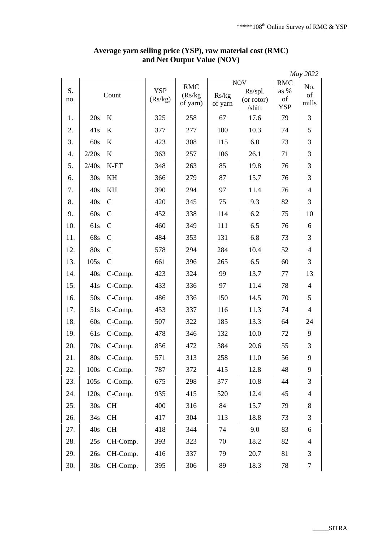|           |       |               |                       |                                   |                  |                                 |                          | May 2022       |
|-----------|-------|---------------|-----------------------|-----------------------------------|------------------|---------------------------------|--------------------------|----------------|
| S.<br>no. | Count |               | <b>YSP</b><br>(Rs/kg) | <b>RMC</b><br>(Rs/kg)<br>of yarn) | <b>NOV</b>       |                                 | <b>RMC</b>               | No.            |
|           |       |               |                       |                                   | Rs/kg<br>of yarn | Rs/spl.<br>(or rotor)<br>/shift | as %<br>of<br><b>YSP</b> | of<br>mills    |
| 1.        | 20s   | $\rm K$       | 325                   | 258                               | 67               | 17.6                            | 79                       | 3              |
| 2.        | 41s   | K             | 377                   | 277                               | 100              | 10.3                            | 74                       | 5              |
| 3.        | 60s   | K             | 423                   | 308                               | 115              | 6.0                             | 73                       | 3              |
| 4.        | 2/20s | $\bf K$       | 363                   | 257                               | 106              | 26.1                            | 71                       | 3              |
| 5.        | 2/40s | K-ET          | 348                   | 263                               | 85               | 19.8                            | 76                       | 3              |
| 6.        | 30s   | KH            | 366                   | 279                               | 87               | 15.7                            | 76                       | 3              |
| 7.        | 40s   | KH            | 390                   | 294                               | 97               | 11.4                            | 76                       | $\overline{4}$ |
| 8.        | 40s   | $\mathbf C$   | 420                   | 345                               | 75               | 9.3                             | 82                       | 3              |
| 9.        | 60s   | $\mathbf C$   | 452                   | 338                               | 114              | 6.2                             | 75                       | 10             |
| 10.       | 61s   | $\mathbf C$   | 460                   | 349                               | 111              | 6.5                             | 76                       | 6              |
| 11.       | 68s   | $\mathbf C$   | 484                   | 353                               | 131              | 6.8                             | 73                       | 3              |
| 12.       | 80s   | $\mathcal{C}$ | 578                   | 294                               | 284              | 10.4                            | 52                       | $\overline{4}$ |
| 13.       | 105s  | $\mathcal{C}$ | 661                   | 396                               | 265              | 6.5                             | 60                       | 3              |
| 14.       | 40s   | C-Comp.       | 423                   | 324                               | 99               | 13.7                            | 77                       | 13             |
| 15.       | 41s   | C-Comp.       | 433                   | 336                               | 97               | 11.4                            | 78                       | $\overline{4}$ |
| 16.       | 50s   | C-Comp.       | 486                   | 336                               | 150              | 14.5                            | 70                       | 5              |
| 17.       | 51s   | C-Comp.       | 453                   | 337                               | 116              | 11.3                            | 74                       | $\overline{4}$ |
| 18.       | 60s   | C-Comp.       | 507                   | 322                               | 185              | 13.3                            | 64                       | 24             |
| 19.       | 61s   | C-Comp.       | 478                   | 346                               | 132              | 10.0                            | 72                       | 9              |
| 20.       | 70s   | C-Comp.       | 856                   | 472                               | 384              | 20.6                            | 55                       | 3              |
| 21.       |       | 80s C-Comp.   | 571                   | 313                               | 258              | 11.0                            | 56                       | 9              |
| 22.       | 100s  | C-Comp.       | 787                   | 372                               | 415              | 12.8                            | 48                       | 9              |
| 23.       | 105s  | C-Comp.       | 675                   | 298                               | 377              | 10.8                            | 44                       | 3              |
| 24.       | 120s  | C-Comp.       | 935                   | 415                               | 520              | 12.4                            | 45                       | $\overline{4}$ |
| 25.       | 30s   | CH            | 400                   | 316                               | 84               | 15.7                            | 79                       | 8              |
| 26.       | 34s   | CH            | 417                   | 304                               | 113              | 18.8                            | 73                       | 3              |
| 27.       | 40s   | CH            | 418                   | 344                               | 74               | 9.0                             | 83                       | 6              |
| 28.       | 25s   | CH-Comp.      | 393                   | 323                               | 70               | 18.2                            | 82                       | $\overline{4}$ |
| 29.       | 26s   | CH-Comp.      | 416                   | 337                               | 79               | 20.7                            | 81                       | 3              |
| 30.       | 30s   | CH-Comp.      | 395                   | 306                               | 89               | 18.3                            | 78                       | $\tau$         |

## **Average yarn selling price (YSP), raw material cost (RMC) and Net Output Value (NOV)**